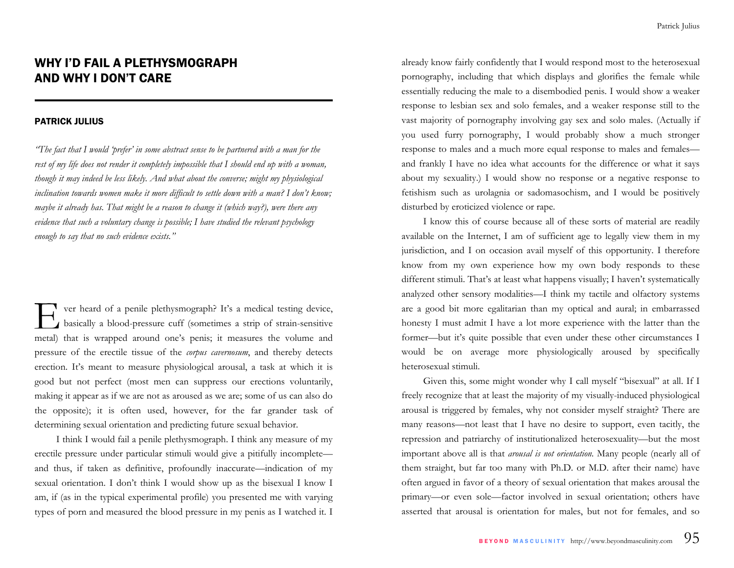## WHY I'D FAIL A PLETHYSMOGRAPH AND WHY I DON'T CARE

## PATRICK JULIUS

*"The fact that I would 'prefer' in some abstract sense to be partnered with a man for the rest of my life does not render it completely impossible that I should end up with a woman, though it may indeed be less likely. And what about the converse; might my physiological*  inclination towards women make it more difficult to settle down with a man? I don't know; *maybe it already has. That might be a reason to change it (which way?), were there any evidence that such a voluntary change is possible; I have studied the relevant psychology enough to say that no such evidence exists."* 

ver heard of a penile plethysmograph? It's a medical testing device, basically a blood-pressure cuff (sometimes a strip of strain-sensitive metal) that is wrapped around one's penis; it measures the volume and pressure of the erectile tissue of the *corpus cavernosum*, and thereby detects erection. It's meant to measure physiological arousal, a task at which it is good but not perfect (most men can suppress our erections voluntarily, making it appear as if we are not as aroused as we are; some of us can also do the opposite); it is often used, however, for the far grander task of determining sexual orientation and predicting future sexual behavior.

I think I would fail a penile plethysmograph. I think any measure of my erectile pressure under particular stimuli would give a pitifully incomplete and thus, if taken as definitive, profoundly inaccurate—indication of my sexual orientation. I don't think I would show up as the bisexual I know I am, if (as in the typical experimental profile) you presented me with varying types of porn and measured the blood pressure in my penis as I watched it. I

already know fairly confidently that I would respond most to the heterosexual pornography, including that which displays and glorifies the female while essentially reducing the male to a disembodied penis. I would show a weaker response to lesbian sex and solo females, and a weaker response still to the vast majority of pornography involving gay sex and solo males. (Actually if you used furry pornography, I would probably show a much stronger response to males and a much more equal response to males and femalesand frankly I have no idea what accounts for the difference or what it says about my sexuality.) I would show no response or a negative response to fetishism such as urolagnia or sadomasochism, and I would be positively disturbed by eroticized violence or rape.

I know this of course because all of these sorts of material are readily available on the Internet, I am of sufficient age to legally view them in my jurisdiction, and I on occasion avail myself of this opportunity. I therefore know from my own experience how my own body responds to these different stimuli. That's at least what happens visually; I haven't systematically analyzed other sensory modalities—I think my tactile and olfactory systems are a good bit more egalitarian than my optical and aural; in embarrassed honesty I must admit I have a lot more experience with the latter than the former—but it's quite possible that even under these other circumstances I would be on average more physiologically aroused by specifically heterosexual stimuli.

Given this, some might wonder why I call myself "bisexual" at all. If I freely recognize that at least the majority of my visually-induced physiological arousal is triggered by females, why not consider myself straight? There are many reasons—not least that I have no desire to support, even tacitly, the repression and patriarchy of institutionalized heterosexuality—but the most important above all is that *arousal is not orientation.* Many people (nearly all of them straight, but far too many with Ph.D. or M.D. after their name) have often argued in favor of a theory of sexual orientation that makes arousal the primary—or even sole—factor involved in sexual orientation; others have asserted that arousal is orientation for males, but not for females, and so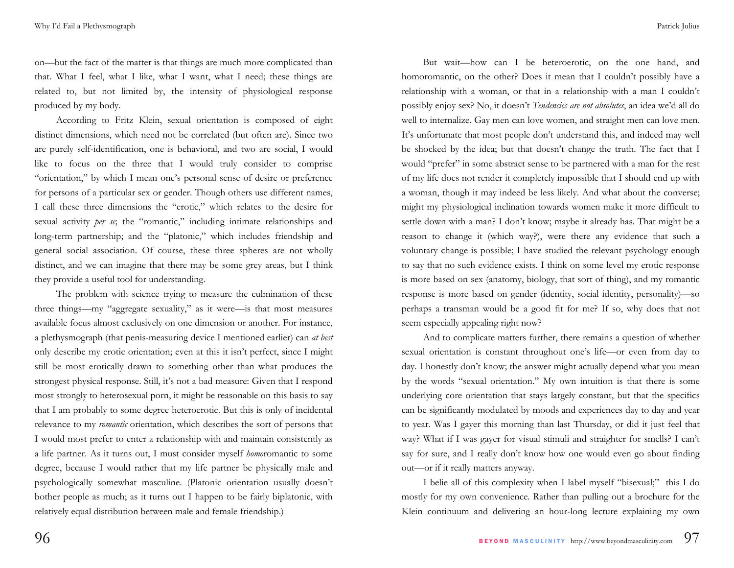on—but the fact of the matter is that things are much more complicated than that. What I feel, what I like, what I want, what I need; these things are related to, but not limited by, the intensity of physiological response produced by my body.

According to Fritz Klein, sexual orientation is composed of eight distinct dimensions, which need not be correlated (but often are). Since two are purely self-identification, one is behavioral, and two are social, I would like to focus on the three that I would truly consider to comprise "orientation," by which I mean one's personal sense of desire or preference for persons of a particular sex or gender. Though others use different names, I call these three dimensions the "erotic," which relates to the desire for sexual activity *per se*; the "romantic," including intimate relationships and long-term partnership; and the "platonic," which includes friendship and general social association. Of course, these three spheres are not wholly distinct, and we can imagine that there may be some grey areas, but I think they provide a useful tool for understanding.

The problem with science trying to measure the culmination of these three things—my "aggregate sexuality," as it were—is that most measures available focus almost exclusively on one dimension or another. For instance, a plethysmograph (that penis-measuring device I mentioned earlier) can *at best*  only describe my erotic orientation; even at this it isn't perfect, since I might still be most erotically drawn to something other than what produces the strongest physical response. Still, it's not a bad measure: Given that I respond most strongly to heterosexual porn, it might be reasonable on this basis to say that I am probably to some degree heteroerotic. But this is only of incidental relevance to my *romantic* orientation, which describes the sort of persons that I would most prefer to enter a relationship with and maintain consistently as a life partner. As it turns out, I must consider myself *homo*romantic to some degree, because I would rather that my life partner be physically male and psychologically somewhat masculine. (Platonic orientation usually doesn't bother people as much; as it turns out I happen to be fairly biplatonic, with relatively equal distribution between male and female friendship.)

But wait—how can I be heteroerotic, on the one hand, and homoromantic, on the other? Does it mean that I couldn't possibly have a relationship with a woman, or that in a relationship with a man I couldn't possibly enjoy sex? No, it doesn't *Tendencies are not absolutes*, an idea we'd all do well to internalize. Gay men can love women, and straight men can love men. It's unfortunate that most people don't understand this, and indeed may well be shocked by the idea; but that doesn't change the truth. The fact that I would "prefer" in some abstract sense to be partnered with a man for the rest of my life does not render it completely impossible that I should end up with a woman, though it may indeed be less likely. And what about the converse; might my physiological inclination towards women make it more difficult to settle down with a man? I don't know; maybe it already has. That might be a reason to change it (which way?), were there any evidence that such a voluntary change is possible; I have studied the relevant psychology enough to say that no such evidence exists. I think on some level my erotic response is more based on sex (anatomy, biology, that sort of thing), and my romantic response is more based on gender (identity, social identity, personality)—so perhaps a transman would be a good fit for me? If so, why does that not seem especially appealing right now?

And to complicate matters further, there remains a question of whether sexual orientation is constant throughout one's life—or even from day to day. I honestly don't know; the answer might actually depend what you mean by the words "sexual orientation." My own intuition is that there is some underlying core orientation that stays largely constant, but that the specifics can be significantly modulated by moods and experiences day to day and year to year. Was I gayer this morning than last Thursday, or did it just feel that way? What if I was gayer for visual stimuli and straighter for smells? I can't say for sure, and I really don't know how one would even go about finding out—or if it really matters anyway.

I belie all of this complexity when I label myself "bisexual;" this I do mostly for my own convenience. Rather than pulling out a brochure for the Klein continuum and delivering an hour-long lecture explaining my own